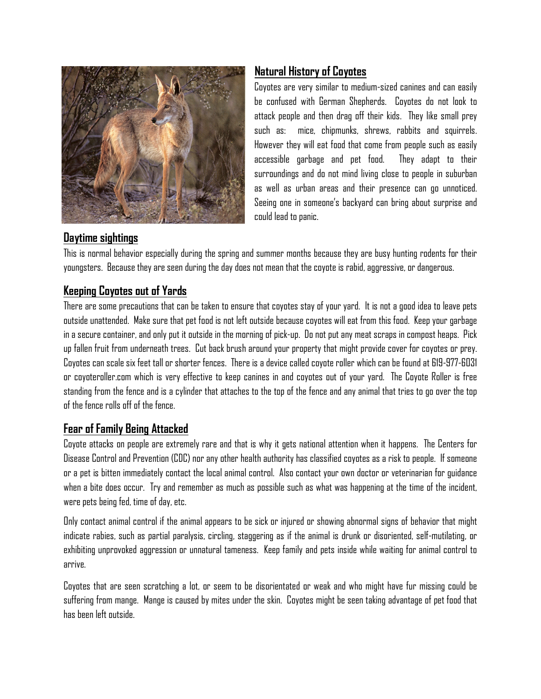

# Natural History of Coyotes

Coyotes are very similar to medium-sized canines and can easily be confused with German Shepherds. Coyotes do not look to attack people and then drag off their kids. They like small prey such as: mice, chipmunks, shrews, rabbits and squirrels. However they will eat food that come from people such as easily accessible garbage and pet food. They adapt to their surroundings and do not mind living close to people in suburban as well as urban areas and their presence can go unnoticed. Seeing one in someone's backyard can bring about surprise and could lead to panic.

#### Daytime sightings

This is normal behavior especially during the spring and summer months because they are busy hunting rodents for their youngsters. Because they are seen during the day does not mean that the coyote is rabid, aggressive, or dangerous.

## Keeping Coyotes out of Yards

There are some precautions that can be taken to ensure that coyotes stay of your yard. It is not a good idea to leave pets outside unattended. Make sure that pet food is not left outside because coyotes will eat from this food. Keep your garbage in a secure container, and only put it outside in the morning of pick-up. Do not put any meat scraps in compost heaps. Pick up fallen fruit from underneath trees. Cut back brush around your property that might provide cover for coyotes or prey. Coyotes can scale six feet tall or shorter fences. There is a device called coyote roller which can be found at 619-977-6031 or coyoteroller.com which is very effective to keep canines in and coyotes out of your yard. The Coyote Roller is free standing from the fence and is a cylinder that attaches to the top of the fence and any animal that tries to go over the top of the fence rolls off of the fence.

## Fear of Family Being Attacked

Coyote attacks on people are extremely rare and that is why it gets national attention when it happens. The Centers for Disease Control and Prevention (CDC) nor any other health authority has classified coyotes as a risk to people. If someone or a pet is bitten immediately contact the local animal control. Also contact your own doctor or veterinarian for guidance when a bite does occur. Try and remember as much as possible such as what was happening at the time of the incident, were pets being fed, time of day, etc.

Only contact animal control if the animal appears to be sick or injured or showing abnormal signs of behavior that might indicate rabies, such as partial paralysis, circling, staggering as if the animal is drunk or disoriented, self-mutilating, or exhibiting unprovoked aggression or unnatural tameness. Keep family and pets inside while waiting for animal control to arrive.

Coyotes that are seen scratching a lot, or seem to be disorientated or weak and who might have fur missing could be suffering from mange. Mange is caused by mites under the skin. Coyotes might be seen taking advantage of pet food that has been left outside.